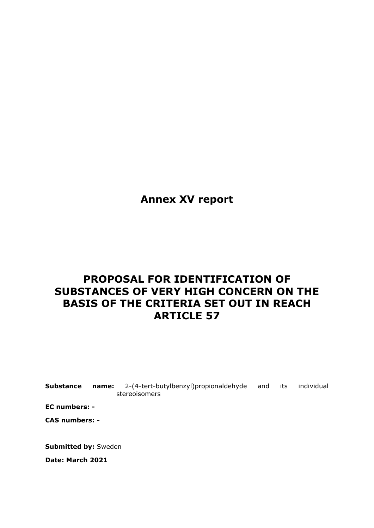**Annex XV report**

# **PROPOSAL FOR IDENTIFICATION OF SUBSTANCES OF VERY HIGH CONCERN ON THE BASIS OF THE CRITERIA SET OUT IN REACH ARTICLE 57**

**Substance name:** 2-(4-tert-butylbenzyl)propionaldehyde and its individual stereoisomers

**EC numbers: -**

**CAS numbers: -**

**Submitted by:** Sweden

**Date: March 2021**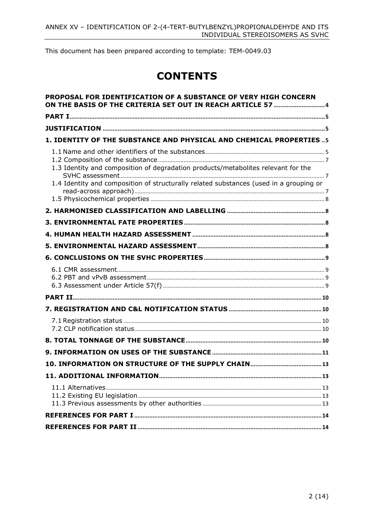This document has been prepared according to template: TEM-0049.03

# **CONTENTS**

| PROPOSAL FOR IDENTIFICATION OF A SUBSTANCE OF VERY HIGH CONCERN                                                                                                             |  |
|-----------------------------------------------------------------------------------------------------------------------------------------------------------------------------|--|
|                                                                                                                                                                             |  |
|                                                                                                                                                                             |  |
| 1. IDENTITY OF THE SUBSTANCE AND PHYSICAL AND CHEMICAL PROPERTIES5                                                                                                          |  |
| 1.3 Identity and composition of degradation products/metabolites relevant for the<br>1.4 Identity and composition of structurally related substances (used in a grouping or |  |
|                                                                                                                                                                             |  |
|                                                                                                                                                                             |  |
|                                                                                                                                                                             |  |
|                                                                                                                                                                             |  |
|                                                                                                                                                                             |  |
|                                                                                                                                                                             |  |
|                                                                                                                                                                             |  |
|                                                                                                                                                                             |  |
|                                                                                                                                                                             |  |
|                                                                                                                                                                             |  |
|                                                                                                                                                                             |  |
|                                                                                                                                                                             |  |
|                                                                                                                                                                             |  |
|                                                                                                                                                                             |  |
|                                                                                                                                                                             |  |
|                                                                                                                                                                             |  |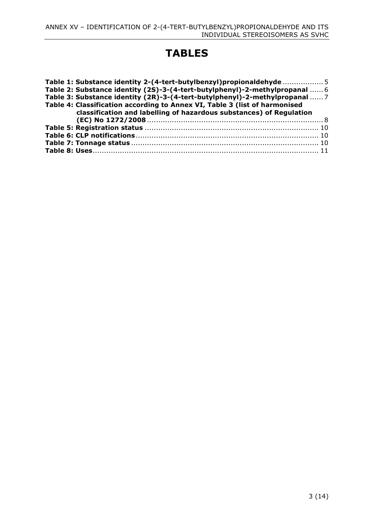# **TABLES**

| Table 1: Substance identity 2-(4-tert-butylbenzyl)propionaldehyde 5                                                                               |  |
|---------------------------------------------------------------------------------------------------------------------------------------------------|--|
| Table 2: Substance identity (2S)-3-(4-tert-butylphenyl)-2-methylpropanal  6                                                                       |  |
| Table 3: Substance identity (2R)-3-(4-tert-butylphenyl)-2-methylpropanal  7                                                                       |  |
| Table 4: Classification according to Annex VI, Table 3 (list of harmonised<br>classification and labelling of hazardous substances) of Regulation |  |
|                                                                                                                                                   |  |
|                                                                                                                                                   |  |
|                                                                                                                                                   |  |
|                                                                                                                                                   |  |
|                                                                                                                                                   |  |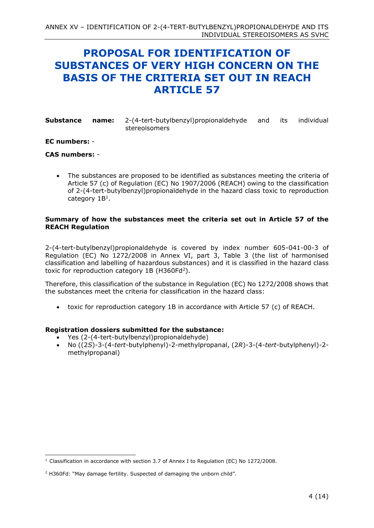## <span id="page-3-0"></span>**PROPOSAL FOR IDENTIFICATION OF SUBSTANCES OF VERY HIGH CONCERN ON THE BASIS OF THE CRITERIA SET OUT IN REACH ARTICLE 57**

| <b>Substance name:</b> 2-(4-tert-butylbenzyl) propional dehyde |               |  | and its individual |
|----------------------------------------------------------------|---------------|--|--------------------|
|                                                                | stereoisomers |  |                    |

#### **EC numbers:** -

#### **CAS numbers:** -

• The substances are proposed to be identified as substances meeting the criteria of Article 57 (c) of Regulation (EC) No 1907/2006 (REACH) owing to the classification of 2-(4-tert-butylbenzyl)propionaldehyde in the hazard class toxic to reproduction category  $1B<sup>1</sup>$ .

#### **Summary of how the substances meet the criteria set out in Article 57 of the REACH Regulation**

2-(4-tert-butylbenzyl)propionaldehyde is covered by index number 605-041-00-3 of Regulation (EC) No 1272/2008 in Annex VI, part 3, Table 3 (the list of harmonised classification and labelling of hazardous substances) and it is classified in the hazard class toxic for reproduction category  $1B$  (H360Fd<sup>2</sup>).

Therefore, this classification of the substance in Regulation (EC) No 1272/2008 shows that the substances meet the criteria for classification in the hazard class:

• toxic for reproduction category 1B in accordance with Article 57 (c) of REACH.

#### **Registration dossiers submitted for the substance:**

- Yes (2-(4-tert-butylbenzyl)propionaldehyde)
- No ((2*S*)-3-(4-*tert*-butylphenyl)-2-methylpropanal, (2*R*)-3-(4-*tert*-butylphenyl)-2 methylpropanal)

<sup>&</sup>lt;sup>1</sup> Classification in accordance with section 3.7 of Annex I to Regulation (EC) No 1272/2008.

<sup>2</sup> H360Fd: "May damage fertility. Suspected of damaging the unborn child".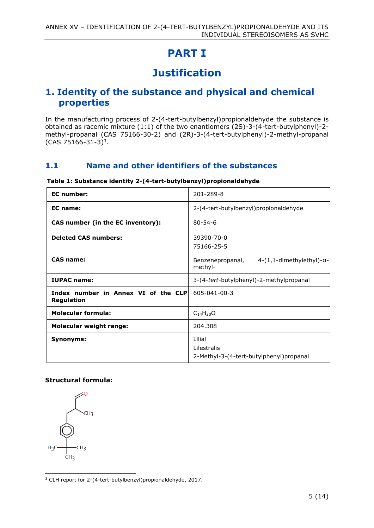# **PART I**

# **Justification**

### <span id="page-4-2"></span><span id="page-4-1"></span><span id="page-4-0"></span>**1. Identity of the substance and physical and chemical properties**

In the manufacturing process of 2-(4-tert-butylbenzyl)propionaldehyde the substance is obtained as racemic mixture (1:1) of the two enantiomers (2S)-3-(4-tert-butylphenyl)-2 methyl-propanal (CAS 75166-30-2) and (2R)-3-(4-tert-butylphenyl)-2-methyl-propanal  $(CAS 75166-31-3)^3$ .

### <span id="page-4-3"></span>**1.1 Name and other identifiers of the substances**

| <b>EC</b> number:                                        | 201-289-8                                                         |
|----------------------------------------------------------|-------------------------------------------------------------------|
| EC name:                                                 | 2-(4-tert-butylbenzyl)propionaldehyde                             |
| CAS number (in the EC inventory):                        | $80 - 54 - 6$                                                     |
| <b>Deleted CAS numbers:</b>                              | 39390-70-0<br>75166-25-5                                          |
| <b>CAS name:</b>                                         | $4-(1,1$ -dimethylethyl)-a-<br>Benzenepropanal,<br>methyl-        |
| <b>IUPAC</b> name:                                       | 3-(4-tert-butylphenyl)-2-methylpropanal                           |
| Index number in Annex VI of the CLP<br><b>Regulation</b> | 605-041-00-3                                                      |
| <b>Molecular formula:</b>                                | $C_{14}H_{20}O$                                                   |
| <b>Molecular weight range:</b>                           | 204.308                                                           |
| Synonyms:                                                | Lilial<br>Lilestralis<br>2-Methyl-3-(4-tert-butylphenyl) propanal |

#### <span id="page-4-4"></span>**Table 1: Substance identity 2-(4-tert-butylbenzyl)propionaldehyde**

#### **Structural formula:**

CH<sub>2</sub> CH<sub>3</sub>  $H_3C$  $CH<sub>3</sub>$ 

<sup>&</sup>lt;sup>3</sup> CLH report for 2-(4-tert-butylbenzyl)propionaldehyde, 2017.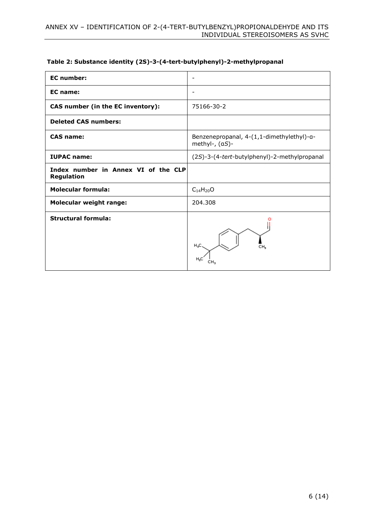| <b>EC</b> number:                                 |                                                             |
|---------------------------------------------------|-------------------------------------------------------------|
| <b>EC</b> name:                                   | $\overline{\phantom{a}}$                                    |
| CAS number (in the EC inventory):                 | 75166-30-2                                                  |
| <b>Deleted CAS numbers:</b>                       |                                                             |
| <b>CAS name:</b>                                  | Benzenepropanal, 4-(1,1-dimethylethyl)-a-<br>methyl-, (aS)- |
| <b>IUPAC name:</b>                                | (2S)-3-(4-tert-butylphenyl)-2-methylpropanal                |
| Index number in Annex VI of the CLP<br>Regulation |                                                             |
| <b>Molecular formula:</b>                         | $C_{14}H_{20}O$                                             |
| <b>Molecular weight range:</b>                    | 204.308                                                     |
| <b>Structural formula:</b>                        | H,C<br>CH,<br>H.C                                           |

#### <span id="page-5-0"></span>**Table 2: Substance identity (2S)-3-(4-tert-butylphenyl)-2-methylpropanal**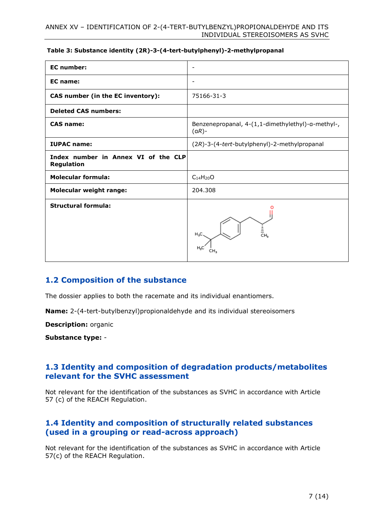#### <span id="page-6-3"></span>**Table 3: Substance identity (2R)-3-(4-tert-butylphenyl)-2-methylpropanal**

| <b>EC</b> number:                                 | $\overline{\phantom{a}}$                                      |
|---------------------------------------------------|---------------------------------------------------------------|
| <b>EC</b> name:                                   | $\overline{\phantom{a}}$                                      |
| CAS number (in the EC inventory):                 | 75166-31-3                                                    |
| <b>Deleted CAS numbers:</b>                       |                                                               |
| <b>CAS name:</b>                                  | Benzenepropanal, 4-(1,1-dimethylethyl)-a-methyl-,<br>$(aR)$ - |
| <b>IUPAC name:</b>                                | (2R)-3-(4-tert-butylphenyl)-2-methylpropanal                  |
| Index number in Annex VI of the CLP<br>Regulation |                                                               |
| <b>Molecular formula:</b>                         | $C_{14}H_{20}O$                                               |
| <b>Molecular weight range:</b>                    | 204.308                                                       |
| <b>Structural formula:</b>                        | ≛<br>сн,<br>H,C.<br>H.C                                       |

### <span id="page-6-0"></span>**1.2 Composition of the substance**

The dossier applies to both the racemate and its individual enantiomers.

**Name:** 2-(4-tert-butylbenzyl)propionaldehyde and its individual stereoisomers

**Description:** organic

**Substance type:** -

### <span id="page-6-1"></span>**1.3 Identity and composition of degradation products/metabolites relevant for the SVHC assessment**

Not relevant for the identification of the substances as SVHC in accordance with Article 57 (c) of the REACH Regulation.

### <span id="page-6-2"></span>**1.4 Identity and composition of structurally related substances (used in a grouping or read-across approach)**

Not relevant for the identification of the substances as SVHC in accordance with Article 57(c) of the REACH Regulation.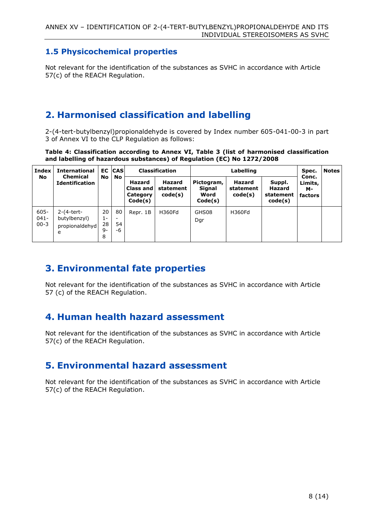### <span id="page-7-0"></span>**1.5 Physicochemical properties**

Not relevant for the identification of the substances as SVHC in accordance with Article 57(c) of the REACH Regulation.

## <span id="page-7-1"></span>**2. Harmonised classification and labelling**

2-(4-tert-butylbenzyl)propionaldehyde is covered by Index number 605-041-00-3 in part 3 of Annex VI to the CLP Regulation as follows:

<span id="page-7-5"></span>**Table 4: Classification according to Annex VI, Table 3 (list of harmonised classification and labelling of hazardous substances) of Regulation (EC) No 1272/2008**

| Index                          | <b>International</b>                                |                             | <b>EC CAS</b>                              | <b>Classification</b>                             |                                       | Labelling                               |                                       | Spec.                                           | <b>Notes</b>                             |  |
|--------------------------------|-----------------------------------------------------|-----------------------------|--------------------------------------------|---------------------------------------------------|---------------------------------------|-----------------------------------------|---------------------------------------|-------------------------------------------------|------------------------------------------|--|
| No                             | <b>Chemical</b><br><b>Identification</b>            | No                          | No                                         | <b>Hazard</b><br>Class and<br>Category<br>Code(s) | <b>Hazard</b><br>statement<br>code(s) | Pictogram,<br>Signal<br>Word<br>Code(s) | <b>Hazard</b><br>statement<br>code(s) | Suppl.<br><b>Hazard</b><br>statement<br>code(s) | Conc.<br>Limits,<br>м-<br><b>factors</b> |  |
| $605 -$<br>$041 -$<br>$00 - 3$ | $2-(4-tert-$<br>butylbenzyl)<br>propionaldehyd<br>e | 20<br>$1-$<br>28<br>9-<br>8 | 80<br>$\overline{\phantom{a}}$<br>54<br>-6 | Repr. 1B                                          | H360Fd                                | GHS08<br>Dgr                            | H360Fd                                |                                                 |                                          |  |

## <span id="page-7-2"></span>**3. Environmental fate properties**

Not relevant for the identification of the substances as SVHC in accordance with Article 57 (c) of the REACH Regulation.

## <span id="page-7-3"></span>**4. Human health hazard assessment**

Not relevant for the identification of the substances as SVHC in accordance with Article 57(c) of the REACH Regulation.

## <span id="page-7-4"></span>**5. Environmental hazard assessment**

Not relevant for the identification of the substances as SVHC in accordance with Article 57(c) of the REACH Regulation.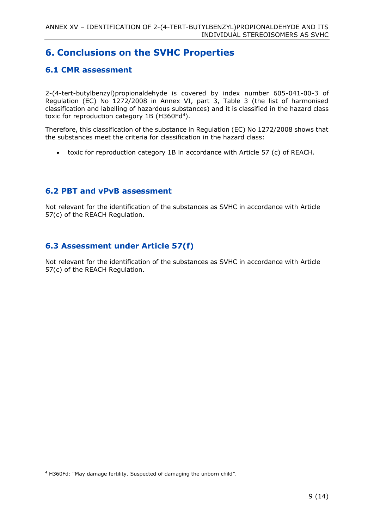## <span id="page-8-0"></span>**6. Conclusions on the SVHC Properties**

### <span id="page-8-1"></span>**6.1 CMR assessment**

2-(4-tert-butylbenzyl)propionaldehyde is covered by index number 605-041-00-3 of Regulation (EC) No 1272/2008 in Annex VI, part 3, Table 3 (the list of harmonised classification and labelling of hazardous substances) and it is classified in the hazard class toxic for reproduction category 1B (H360Fd<sup>4</sup>).

Therefore, this classification of the substance in Regulation (EC) No 1272/2008 shows that the substances meet the criteria for classification in the hazard class:

• toxic for reproduction category 1B in accordance with Article 57 (c) of REACH.

### <span id="page-8-2"></span>**6.2 PBT and vPvB assessment**

Not relevant for the identification of the substances as SVHC in accordance with Article 57(c) of the REACH Regulation.

### <span id="page-8-3"></span>**6.3 Assessment under Article 57(f)**

Not relevant for the identification of the substances as SVHC in accordance with Article 57(c) of the REACH Regulation.

<sup>4</sup> H360Fd: "May damage fertility. Suspected of damaging the unborn child".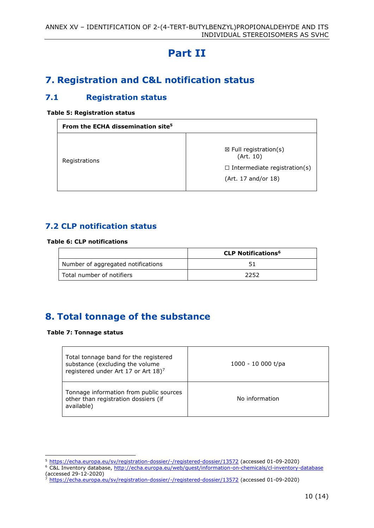# **Part II**

## <span id="page-9-1"></span><span id="page-9-0"></span>**7. Registration and C&L notification status**

### <span id="page-9-2"></span>**7.1 Registration status**

#### <span id="page-9-5"></span>**Table 5: Registration status**

| From the ECHA dissemination site <sup>5</sup> |                                                                                                             |  |  |  |
|-----------------------------------------------|-------------------------------------------------------------------------------------------------------------|--|--|--|
| Registrations                                 | $\boxtimes$ Full registration(s)<br>(Art. 10)<br>$\Box$ Intermediate registration(s)<br>(Art. 17 and/or 18) |  |  |  |

### <span id="page-9-3"></span>**7.2 CLP notification status**

#### <span id="page-9-6"></span>**Table 6: CLP notifications**

|                                    | <b>CLP Notifications<sup>6</sup></b> |
|------------------------------------|--------------------------------------|
| Number of aggregated notifications |                                      |
| Total number of notifiers          | 2252                                 |

## <span id="page-9-4"></span>**8. Total tonnage of the substance**

#### <span id="page-9-7"></span>**Table 7: Tonnage status**

| Total tonnage band for the registered<br>substance (excluding the volume<br>registered under Art 17 or Art 18) <sup>7</sup> | $1000 - 10000$ t/pa |
|-----------------------------------------------------------------------------------------------------------------------------|---------------------|
| Tonnage information from public sources<br>other than registration dossiers (if<br>available)                               | No information      |

<sup>5</sup> <https://echa.europa.eu/sv/registration-dossier/-/registered-dossier/13572> (accessed 01-09-2020)

<sup>&</sup>lt;sup>6</sup> C&L Inventory database, http://echa.europa.eu/web/quest/information-on-chemicals/cl-inventory-database (accessed 29-12-2020)<br>  $\frac{7 \text{ hthes} \cdot \frac{1}{2}}{2 \text{ hthes} \cdot \frac{1}{2}}$ 

<sup>7</sup> <https://echa.europa.eu/sv/registration-dossier/-/registered-dossier/13572> (accessed 01-09-2020)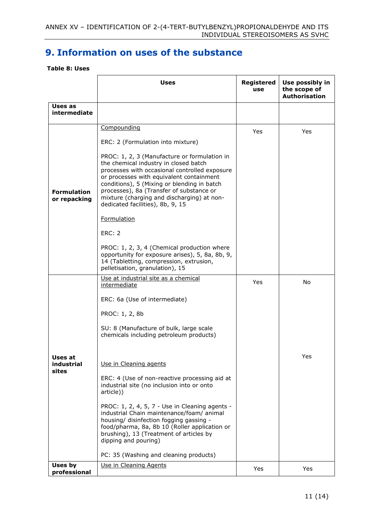## <span id="page-10-0"></span>**9. Information on uses of the substance**

#### <span id="page-10-1"></span>**Table 8: Uses**

|                                    | <b>Uses</b>                                                                                                                                                                                                                                                                                                                                                                                                                                                                                                                                                                                                                                 | Registered<br>use | Use possibly in<br>the scope of<br><b>Authorisation</b> |
|------------------------------------|---------------------------------------------------------------------------------------------------------------------------------------------------------------------------------------------------------------------------------------------------------------------------------------------------------------------------------------------------------------------------------------------------------------------------------------------------------------------------------------------------------------------------------------------------------------------------------------------------------------------------------------------|-------------------|---------------------------------------------------------|
| Uses as<br>intermediate            |                                                                                                                                                                                                                                                                                                                                                                                                                                                                                                                                                                                                                                             |                   |                                                         |
| <b>Formulation</b><br>or repacking | Compounding<br>ERC: 2 (Formulation into mixture)<br>PROC: 1, 2, 3 (Manufacture or formulation in<br>the chemical industry in closed batch<br>processes with occasional controlled exposure<br>or processes with equivalent containment<br>conditions), 5 (Mixing or blending in batch<br>processes), 8a (Transfer of substance or<br>mixture (charging and discharging) at non-<br>dedicated facilities), 8b, 9, 15<br><b>Formulation</b><br><b>ERC: 2</b><br>PROC: 1, 2, 3, 4 (Chemical production where<br>opportunity for exposure arises), 5, 8a, 8b, 9,<br>14 (Tabletting, compression, extrusion,<br>pelletisation, granulation), 15  | Yes               | Yes                                                     |
| Uses at<br>industrial<br>sites     | Use at industrial site as a chemical<br>intermediate<br>ERC: 6a (Use of intermediate)<br>PROC: 1, 2, 8b<br>SU: 8 (Manufacture of bulk, large scale<br>chemicals including petroleum products)<br>Use in Cleaning agents<br>ERC: 4 (Use of non-reactive processing aid at<br>industrial site (no inclusion into or onto<br>article))<br>PROC: 1, 2, 4, 5, 7 - Use in Cleaning agents -<br>industrial Chain maintenance/foam/ animal<br>housing/ disinfection fogging gassing -<br>food/pharma, 8a, 8b 10 (Roller application or<br>brushing), 13 (Treatment of articles by<br>dipping and pouring)<br>PC: 35 (Washing and cleaning products) | Yes               | No<br>Yes                                               |
| Uses by<br>professional            | Use in Cleaning Agents                                                                                                                                                                                                                                                                                                                                                                                                                                                                                                                                                                                                                      | Yes               | Yes                                                     |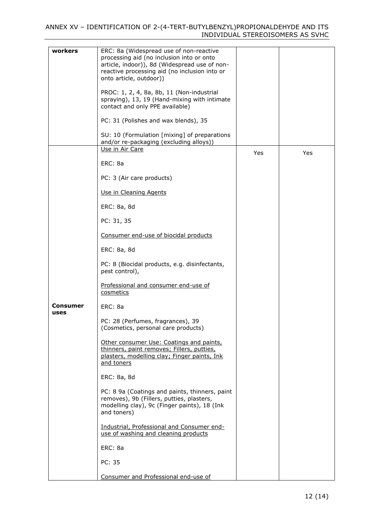#### ANNEX XV – IDENTIFICATION OF 2-(4-TERT-BUTYLBENZYL)PROPIONALDEHYDE AND ITS INDIVIDUAL STEREOISOMERS AS SVHC

| workers                 | ERC: 8a (Widespread use of non-reactive<br>processing aid (no inclusion into or onto<br>article, indoor)), 8d (Widespread use of non-<br>reactive processing aid (no inclusion into or<br>onto article, outdoor)) |     |     |
|-------------------------|-------------------------------------------------------------------------------------------------------------------------------------------------------------------------------------------------------------------|-----|-----|
|                         | PROC: 1, 2, 4, 8a, 8b, 11 (Non-industrial<br>spraying), 13, 19 (Hand-mixing with intimate<br>contact and only PPE available)                                                                                      |     |     |
|                         | PC: 31 (Polishes and wax blends), 35                                                                                                                                                                              |     |     |
|                         | SU: 10 (Formulation [mixing] of preparations<br>and/or re-packaging (excluding alloys))                                                                                                                           |     |     |
|                         | Use in Air Care                                                                                                                                                                                                   | Yes | Yes |
|                         | ERC: 8a                                                                                                                                                                                                           |     |     |
|                         | PC: 3 (Air care products)                                                                                                                                                                                         |     |     |
|                         | Use in Cleaning Agents                                                                                                                                                                                            |     |     |
|                         | ERC: 8a, 8d                                                                                                                                                                                                       |     |     |
|                         | PC: 31, 35                                                                                                                                                                                                        |     |     |
|                         | Consumer end-use of biocidal products                                                                                                                                                                             |     |     |
|                         | ERC: 8a, 8d                                                                                                                                                                                                       |     |     |
|                         | PC: 8 (Biocidal products, e.g. disinfectants,<br>pest control),                                                                                                                                                   |     |     |
|                         | Professional and consumer end-use of<br>cosmetics                                                                                                                                                                 |     |     |
| <b>Consumer</b><br>uses | ERC: 8a                                                                                                                                                                                                           |     |     |
|                         | PC: 28 (Perfumes, fragrances), 39<br>(Cosmetics, personal care products)                                                                                                                                          |     |     |
|                         | Other consumer Use: Coatings and paints,<br>thinners, paint removes; Fillers, putties,<br>plasters, modelling clay; Finger paints, Ink<br>and toners                                                              |     |     |
|                         | ERC: 8a, 8d                                                                                                                                                                                                       |     |     |
|                         | PC: 8 9a (Coatings and paints, thinners, paint<br>removes), 9b (Fillers, putties, plasters,<br>modelling clay), 9c (Finger paints), 18 (Ink<br>and toners)                                                        |     |     |
|                         | Industrial, Professional and Consumer end-<br>use of washing and cleaning products                                                                                                                                |     |     |
|                         | ERC: 8a                                                                                                                                                                                                           |     |     |
|                         | PC: 35                                                                                                                                                                                                            |     |     |
|                         | Consumer and Professional end-use of                                                                                                                                                                              |     |     |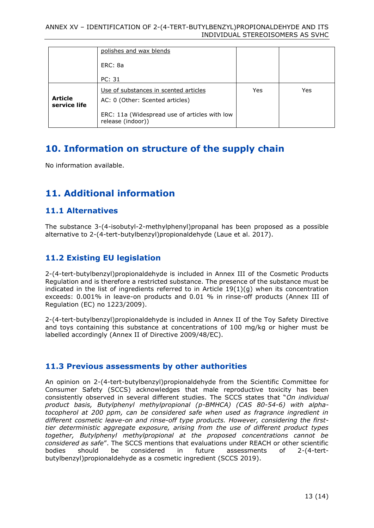|                                | polishes and wax blends                                                  |     |     |
|--------------------------------|--------------------------------------------------------------------------|-----|-----|
|                                | ERC: 8a                                                                  |     |     |
|                                | PC: 31                                                                   |     |     |
| <b>Article</b><br>service life | Use of substances in scented articles<br>AC: 0 (Other: Scented articles) | Yes | Yes |
|                                | ERC: 11a (Widespread use of articles with low<br>release (indoor))       |     |     |

## <span id="page-12-0"></span>**10. Information on structure of the supply chain**

No information available.

## <span id="page-12-1"></span>**11. Additional information**

### <span id="page-12-2"></span>**11.1 Alternatives**

The substance 3-(4-isobutyl-2-methylphenyl)propanal has been proposed as a possible alternative to 2-(4-tert-butylbenzyl)propionaldehyde (Laue et al. 2017).

### <span id="page-12-3"></span>**11.2 Existing EU legislation**

2-(4-tert-butylbenzyl)propionaldehyde is included in Annex III of the Cosmetic Products Regulation and is therefore a restricted substance. The presence of the substance must be indicated in the list of ingredients referred to in Article 19(1)(g) when its concentration exceeds: 0.001% in leave-on products and 0.01 % in rinse-off products (Annex III of Regulation (EC) no 1223/2009).

2-(4-tert-butylbenzyl)propionaldehyde is included in Annex II of the Toy Safety Directive and toys containing this substance at concentrations of 100 mg/kg or higher must be labelled accordingly (Annex II of Directive 2009/48/EC).

### <span id="page-12-4"></span>**11.3 Previous assessments by other authorities**

An opinion on 2-(4-tert-butylbenzyl)propionaldehyde from the Scientific Committee for Consumer Safety (SCCS) acknowledges that male reproductive toxicity has been consistently observed in several different studies. The SCCS states that "*On individual product basis, Butylphenyl methylpropional (p-BMHCA) (CAS 80-54-6) with alphatocopherol at 200 ppm, can be considered safe when used as fragrance ingredient in different cosmetic leave-on and rinse-off type products. However, considering the firsttier deterministic aggregate exposure, arising from the use of different product types together, Butylphenyl methylpropional at the proposed concentrations cannot be considered as safe*". The SCCS mentions that evaluations under REACH or other scientific bodies should be considered in future assessments of 2-(4-tertbutylbenzyl)propionaldehyde as a cosmetic ingredient (SCCS 2019).